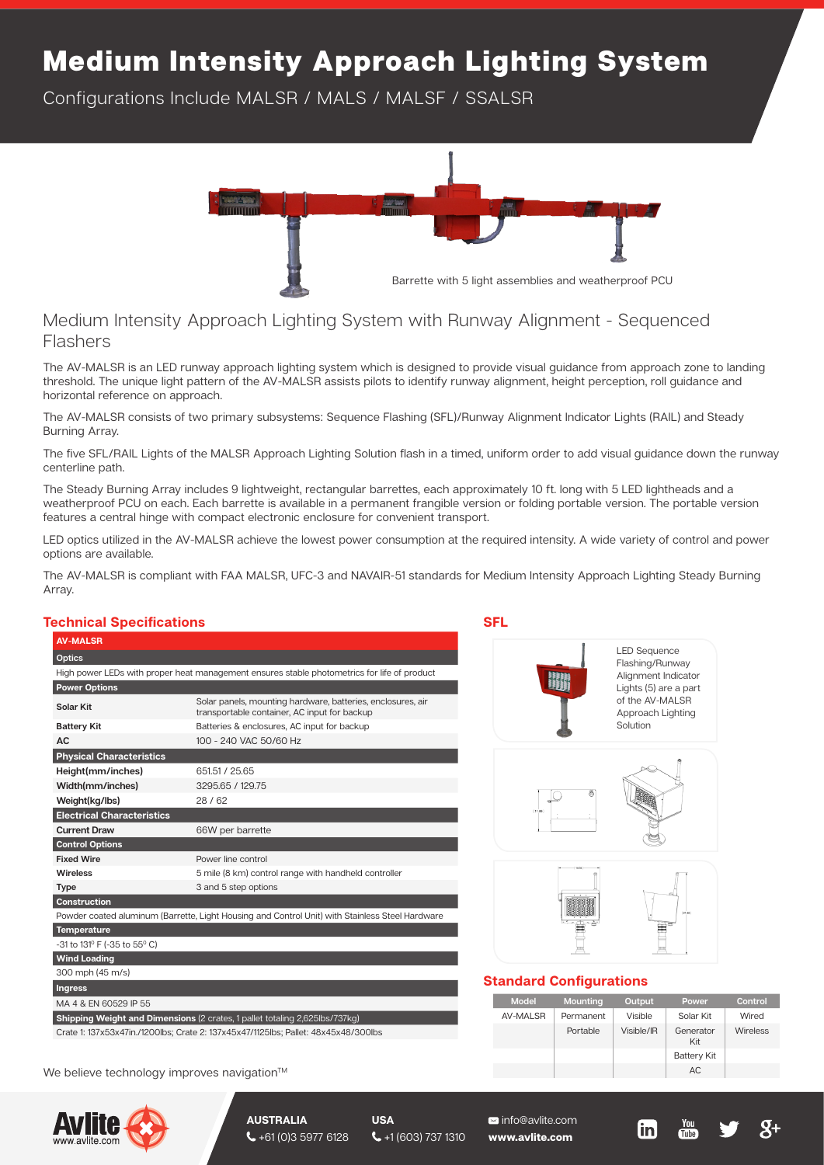## Medium Intensity Approach Lighting System

Configurations Include MALSR / MALS / MALSF / SSALSR



## Medium Intensity Approach Lighting System with Runway Alignment - Sequenced Flashers

The AV-MALSR is an LED runway approach lighting system which is designed to provide visual guidance from approach zone to landing threshold. The unique light pattern of the AV-MALSR assists pilots to identify runway alignment, height perception, roll guidance and horizontal reference on approach.

The AV-MALSR consists of two primary subsystems: Sequence Flashing (SFL)/Runway Alignment Indicator Lights (RAIL) and Steady Burning Array.

The five SFL/RAIL Lights of the MALSR Approach Lighting Solution flash in a timed, uniform order to add visual guidance down the runway centerline path.

The Steady Burning Array includes 9 lightweight, rectangular barrettes, each approximately 10 ft. long with 5 LED lightheads and a weatherproof PCU on each. Each barrette is available in a permanent frangible version or folding portable version. The portable version features a central hinge with compact electronic enclosure for convenient transport.

LED optics utilized in the AV-MALSR achieve the lowest power consumption at the required intensity. A wide variety of control and power options are available.

The AV-MALSR is compliant with FAA MALSR, UFC-3 and NAVAIR-51 standards for Medium Intensity Approach Lighting Steady Burning Array.

## **Technical Specifications**

| <b>AV-MALSR</b>                                                                    |                                                                                                             |  |  |  |  |
|------------------------------------------------------------------------------------|-------------------------------------------------------------------------------------------------------------|--|--|--|--|
| <b>Optics</b>                                                                      |                                                                                                             |  |  |  |  |
|                                                                                    | High power LEDs with proper heat management ensures stable photometrics for life of product                 |  |  |  |  |
| <b>Power Options</b>                                                               |                                                                                                             |  |  |  |  |
| Solar Kit                                                                          | Solar panels, mounting hardware, batteries, enclosures, air<br>transportable container, AC input for backup |  |  |  |  |
| <b>Battery Kit</b>                                                                 | Batteries & enclosures, AC input for backup                                                                 |  |  |  |  |
| AC.                                                                                | 100 - 240 VAC 50/60 Hz                                                                                      |  |  |  |  |
| <b>Physical Characteristics</b>                                                    |                                                                                                             |  |  |  |  |
| Height(mm/inches)                                                                  | 651.51 / 25.65                                                                                              |  |  |  |  |
| Width(mm/inches)                                                                   | 3295.65 / 129.75                                                                                            |  |  |  |  |
| Weight(kg/lbs)                                                                     | 28/62                                                                                                       |  |  |  |  |
| <b>Electrical Characteristics</b>                                                  |                                                                                                             |  |  |  |  |
| <b>Current Draw</b>                                                                | 66W per barrette                                                                                            |  |  |  |  |
| <b>Control Options</b>                                                             |                                                                                                             |  |  |  |  |
| <b>Fixed Wire</b>                                                                  | Power line control                                                                                          |  |  |  |  |
| Wireless                                                                           | 5 mile (8 km) control range with handheld controller                                                        |  |  |  |  |
| <b>Type</b>                                                                        | 3 and 5 step options                                                                                        |  |  |  |  |
| <b>Construction</b>                                                                |                                                                                                             |  |  |  |  |
|                                                                                    | Powder coated aluminum (Barrette, Light Housing and Control Unit) with Stainless Steel Hardware             |  |  |  |  |
| <b>Temperature</b>                                                                 |                                                                                                             |  |  |  |  |
| -31 to 131º F (-35 to 55° C)                                                       |                                                                                                             |  |  |  |  |
| <b>Wind Loading</b>                                                                |                                                                                                             |  |  |  |  |
| 300 mph (45 m/s)                                                                   |                                                                                                             |  |  |  |  |
| <b>Ingress</b>                                                                     |                                                                                                             |  |  |  |  |
| MA 4 & EN 60529 IP 55                                                              |                                                                                                             |  |  |  |  |
| Shipping Weight and Dimensions (2 crates, 1 pallet totaling 2,625lbs/737kg)        |                                                                                                             |  |  |  |  |
| Crate 1: 137x53x47in./1200lbs; Crate 2: 137x45x47/1125lbs; Pallet: 48x45x48/300lbs |                                                                                                             |  |  |  |  |

We believe technology improves navigation<sup>™</sup>



**AUSTRALIA**  $\bigcup$  +61 (0)3 5977 6128

**USA**

 $\leftarrow$  +1 (603) 737 1310

 info@avlite.com **www.avlite.com**





LED Sequence Flashing/Runway Alignment Indicator Lights (5) are a part of the AV-MALSR Approach Lighting Solution





## **Standard Configurations**

| <b>Model</b> | Mounting  | Output     | Power              | Control  |
|--------------|-----------|------------|--------------------|----------|
| AV-MALSR     | Permanent | Visible    | Solar Kit          | Wired    |
|              | Portable  | Visible/IR | Generator<br>Kit   | Wireless |
|              |           |            | <b>Battery Kit</b> |          |
|              |           |            | AC                 |          |